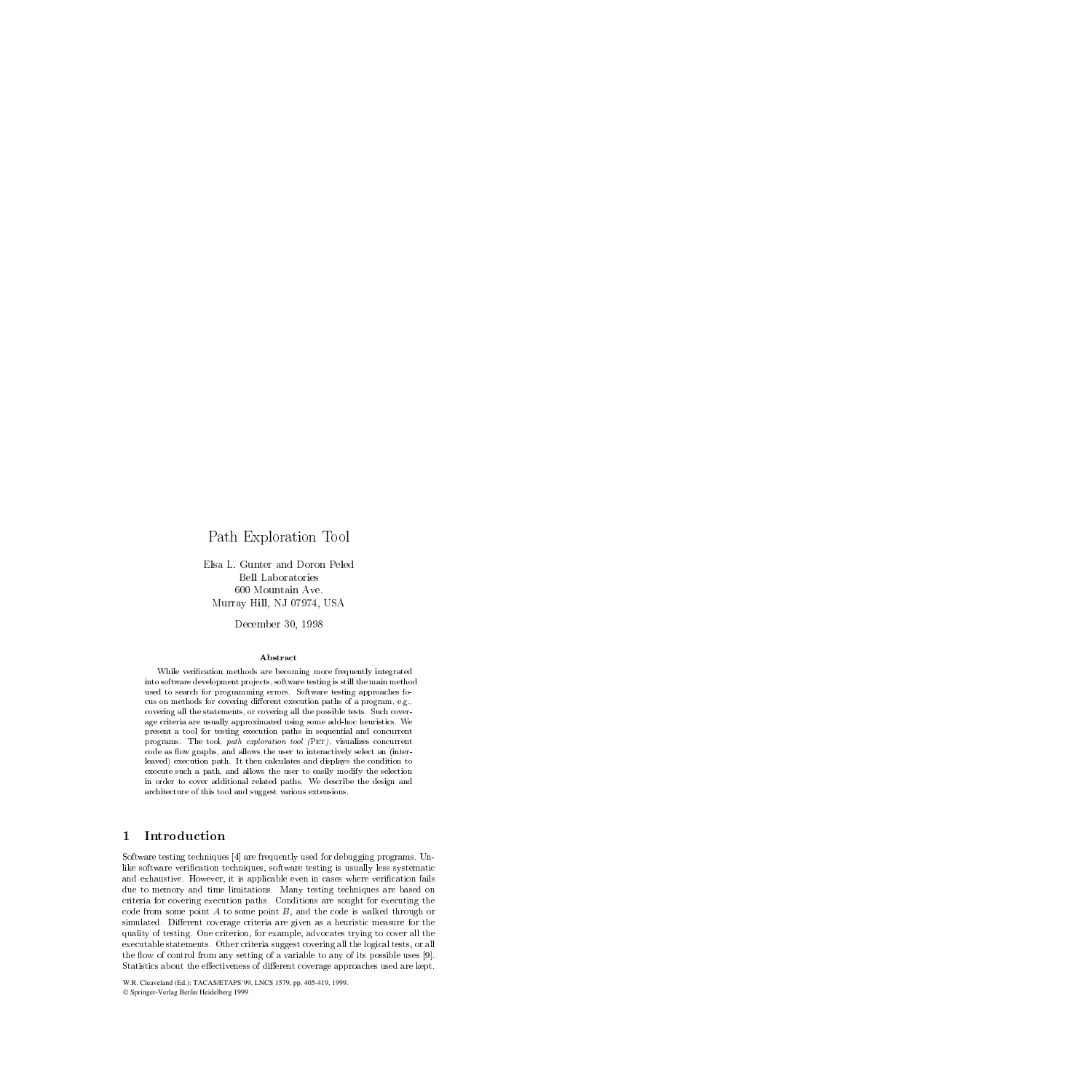# Path Exploration Tool

Elsa L. Gunter and Doron Peled Bell Laboratories 600 Mountain Ave. Murray Hill, NJ 07974, USA

December 30, 1998

## Abstract

While verication methods are becoming more frequently integratedinto software development pro jects, software testing is still the main methodused to search for programming errors. Software testing approaches focus on methods for covering different execution paths of a program, e.g., covering all the statements, or covering all the possible tests. Such cover age criteria are usually approximated using some add-hoc heuristics. We present <sup>a</sup> tool for testing execution paths in sequential and concurrent programs. The tool, path exploration tool (Pet), visualizes concurrent code as flow graphs, and allows the user to interactively select an (interleaved) execution path. It then calculates and displays the condition to execute such a path, and allows the user to easily modify the selection in order to cover additional related paths. We describe the design and architecture of this tool and suggest various extensions.

## Introduction 1

Software testing techniques [4] are frequently used for debugging programs. Unlike software verication techniques, software testing is usually less systematic and exhaustive. However, it is applicable even in cases where verification fails due to memory and time limitations. Many testing techniques are based on criteria for covering execution paths. Conditions are sought for executing the code from some point A to some point  $B$ , and the code is walked through or simulated. Different coverage criteria are given as a heuristic measure for the quality of testing. One criterion, for example, advocates trying to cover all the executable statements. Other criteria suggest covering all the logical tests, or all the flow of control from any setting of a variable to any of its possible uses  $[9]$ . Statistics about the effectiveness of different coverage approaches used are kept.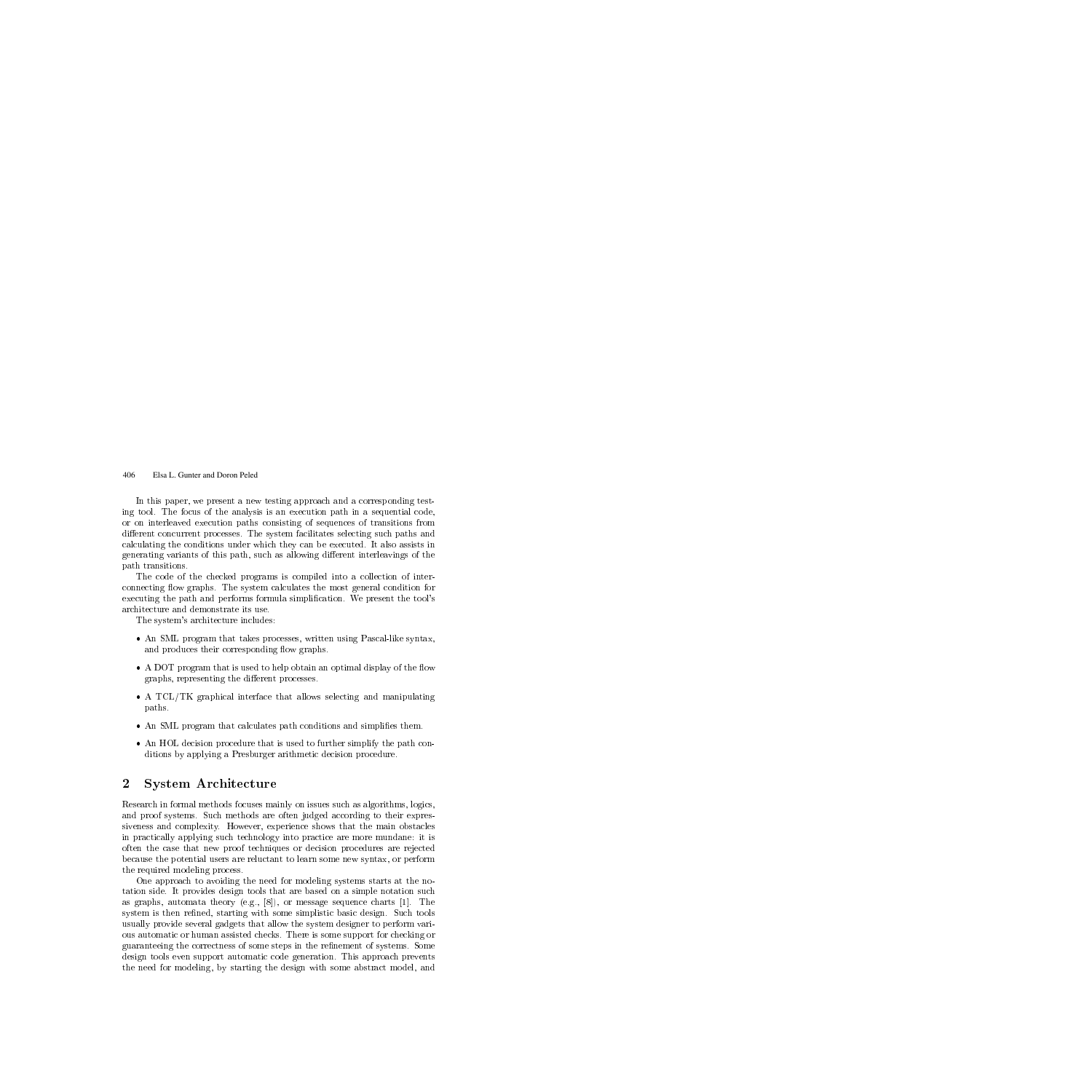In this paper, we present a new testing approach and a corresponding testing tool. The focus of the analysis is an execution path in a sequential code, or on interleaved execution paths consisting of sequences of transitions from different concurrent processes. The system facilitates selecting such paths and calculating the conditions under which they can be executed. It also assists in generating variants of this path, such as allowing different interleavings of the path transitions.

The code of the checked programs is compiled into a collection of interconnecting flow graphs. The system calculates the most general condition for executing the path and performs formula simplication. We present the tool's architecture and demonstrate its use.

The system's architecture includes:

- An SML program that takes processes, written using Pascal-like syntax, and produces their corresponding flow graphs.
- A DOT program that is used to help obtain an optimal display of the flow graphs, representing the different processes.
- A TCL/TK graphical interface that allows selecting and manipulating paths.
- An SML program that calculates path conditions and simplifies them.
- An HOL decision procedure that is used to further simplify the path conditions by applying a Presburger arithmetic decision procedure.

## $\bf{2}$ 2 System Architecture

Research in formal methods focuses mainly on issues such as algorithms, logics, and proof systems. Such methods are often judged according to their expressiveness and complexity. However, experience shows that the main obstacles in practically applying such technology into practice are more mundane: it is often the case that new proof techniques or decision procedures are rejected because the potential users are reluctant to learn some new syntax, or perform the required modeling process.

One approach to avoiding the need for modeling systems starts at the notation side. It provides design tools that are based on a simple notation such as graphs, automata theory (e.g.,  $[8]$ ), or message sequence charts [1]. The system is then refined, starting with some simplistic basic design. Such tools usually provide several gadgets that allow the system designer to perform various automatic or human assisted checks. There is some support for checking or guaranteeing the correctness of some steps in the refinement of systems. Some design tools even support automatic code generation. This approach prevents the need for modeling, by starting the design with some abstract model, and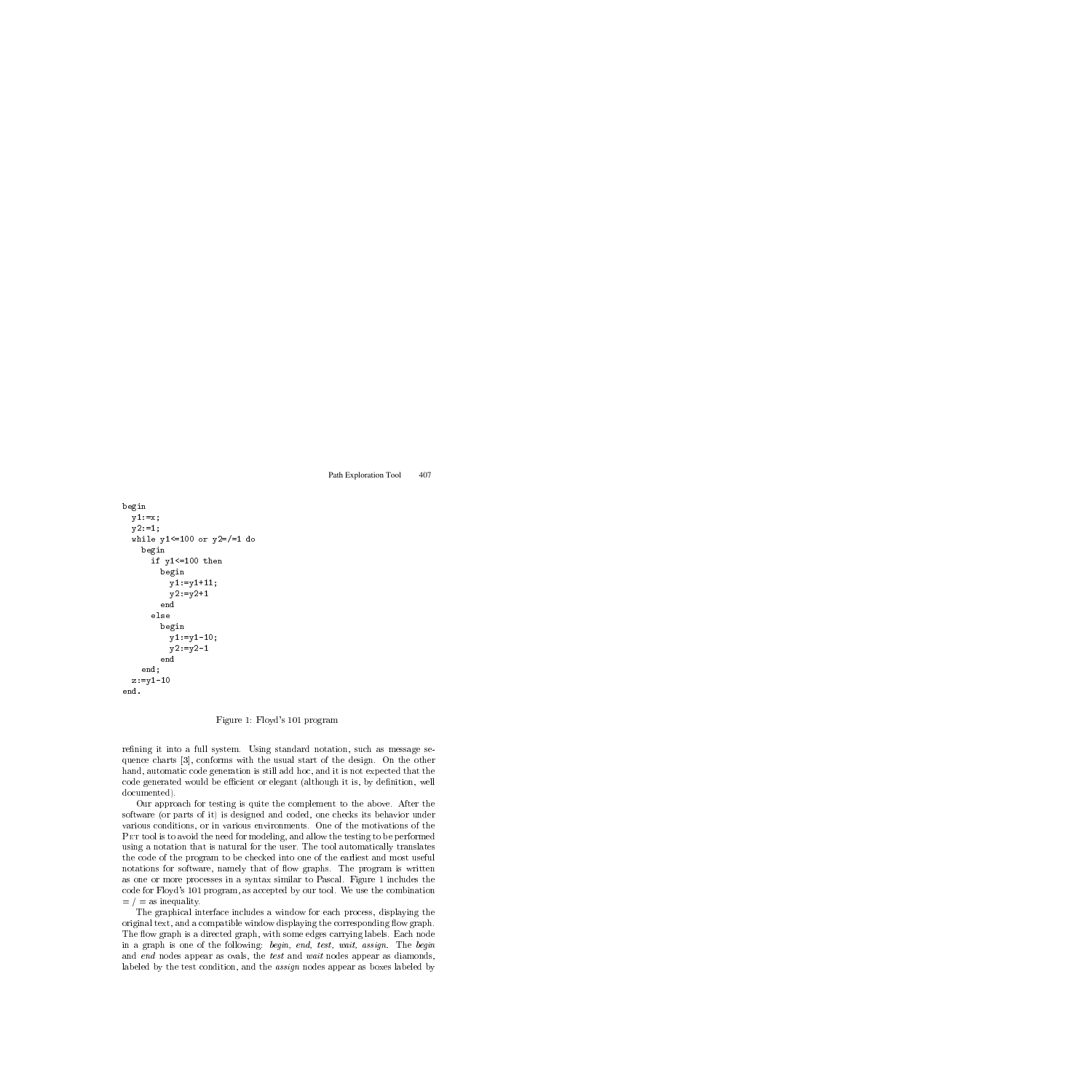```
beginy1 := x;y2:=1;while y1<=100 or y2=/=1 do
         beginif you have a second the second contract of the second contract of the second contract of the second contract of the second contract of the second contract of the second contract of the second contract of the second contra
                  beginy1:=y1+11;v2:=v2+1andelse
                  beginy1:=y1-10;
                       y2:=y2-1endend;z:=y1-10end.
```
## Figure 1: Floyd's 101 program

refining it into a full system. Using standard notation, such as message sequence charts [3], conforms with the usual start of the design. On the other hand, automatic code generation is still add hoc, and it is not expected that the code generated would be efficient or elegant (although it is, by definition, well documented).

Our approach for testing is quite the complement to the above. After the software (or parts of it) is designed and coded, one checks its behavior under various conditions, or in various environments. One of the motivations of the PET tool is to avoid the need for modeling, and allow the testing to be performed using a notation that is natural for the user. The tool automatically translates the code of the program to be checked into one of the earliest and most useful notations for software, namely that of flow graphs. The program is written as one or more processes in a syntax similar to Pascal. Figure 1 includes the code for Floyd's 101 program, as accepted by our tool. We use the combination  $=$  /  $=$  as inequality.

The graphical interface includes a window for each process, displaying the original text, and a compatible window displaying the corresponding flow graph. The flow graph is a directed graph, with some edges carrying labels. Each node in a graph is one of the following: begin, end, test, wait, assign. The begin and end nodes appear as ovals, the test and wait nodes appear as diamonds, labeled by the test condition, and the assign nodes appear as boxes labeled by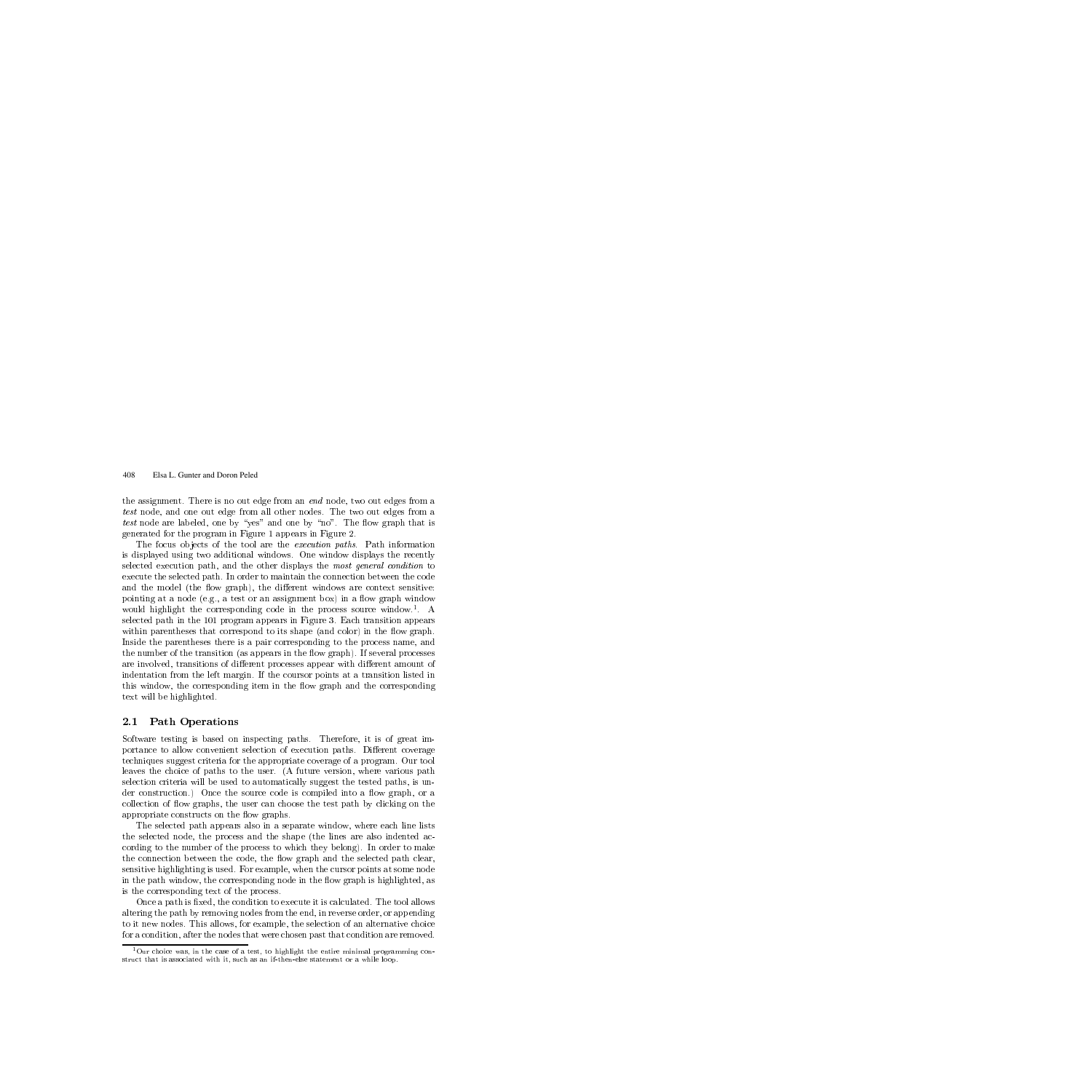the assignment. There is no out edge from an *end* node, two out edges from a test node, and one out edge from all other nodes. The two out edges from a test node are labeled, one by "yes" and one by "no". The flow graph that is generated for the program in Figure 1 appears in Figure 2.

The focus objects of the tool are the *execution paths*. Path information is displayed using two additional windows. One window displays the recently selected execution path, and the other displays the most general condition to execute the selected path. In order to maintain the connection between the code and the model (the flow graph), the different windows are context sensitive: pointing at a node (e.g., a test or an assignment box) in a flow graph window would highlight the corresponding code in the process source window.1 . A selected path in the 101 program appears in Figure 3. Each transition appears within parentheses that correspond to its shape (and color) in the flow graph. Inside the parentheses there is a pair corresponding to the process name, and the number of the transition (as appears in the flow graph). If several processes are involved, transitions of different processes appear with different amount of indentation from the left margin. If the coursor points at a transition listed in this window, the corresponding item in the flow graph and the corresponding text will be highlighted.

## 2.1 Path Operations

Software testing is based on inspecting paths. Therefore, it is of great importance to allow convenient selection of execution paths. Different coverage techniques suggest criteria for the appropriate coverage of a program. Our tool leaves the choice of paths to the user. (A future version, where various path selection criteria will be used to automatically suggest the tested paths, is under construction.) Once the source code is compiled into a flow graph, or a collection of flow graphs, the user can choose the test path by clicking on the appropriate constructs on the flow graphs.

The selected path appears also in a separate window, where each line lists the selected node, the process and the shape (the lines are also indented according to the number of the process to which they belong). In order to make the connection between the code, the flow graph and the selected path clear, sensitive highlighting is used. For example, when the cursor points at some node in the path window, the corresponding node in the flow graph is highlighted, as is the corresponding text of the process.

Once a path is fixed, the condition to execute it is calculated. The tool allows altering the path by removing nodes from the end, in reverse order, or appending to it new nodes. This allows, for example, the selection of an alternative choice for a condition, after the nodes that were chosen past that condition are removed.

<sup>&</sup>lt;sup>1</sup>Our choice was, in the case of a test, to highlight the entire minimal programming construct that is associated with it, such as an if-then-else statement or a while loop.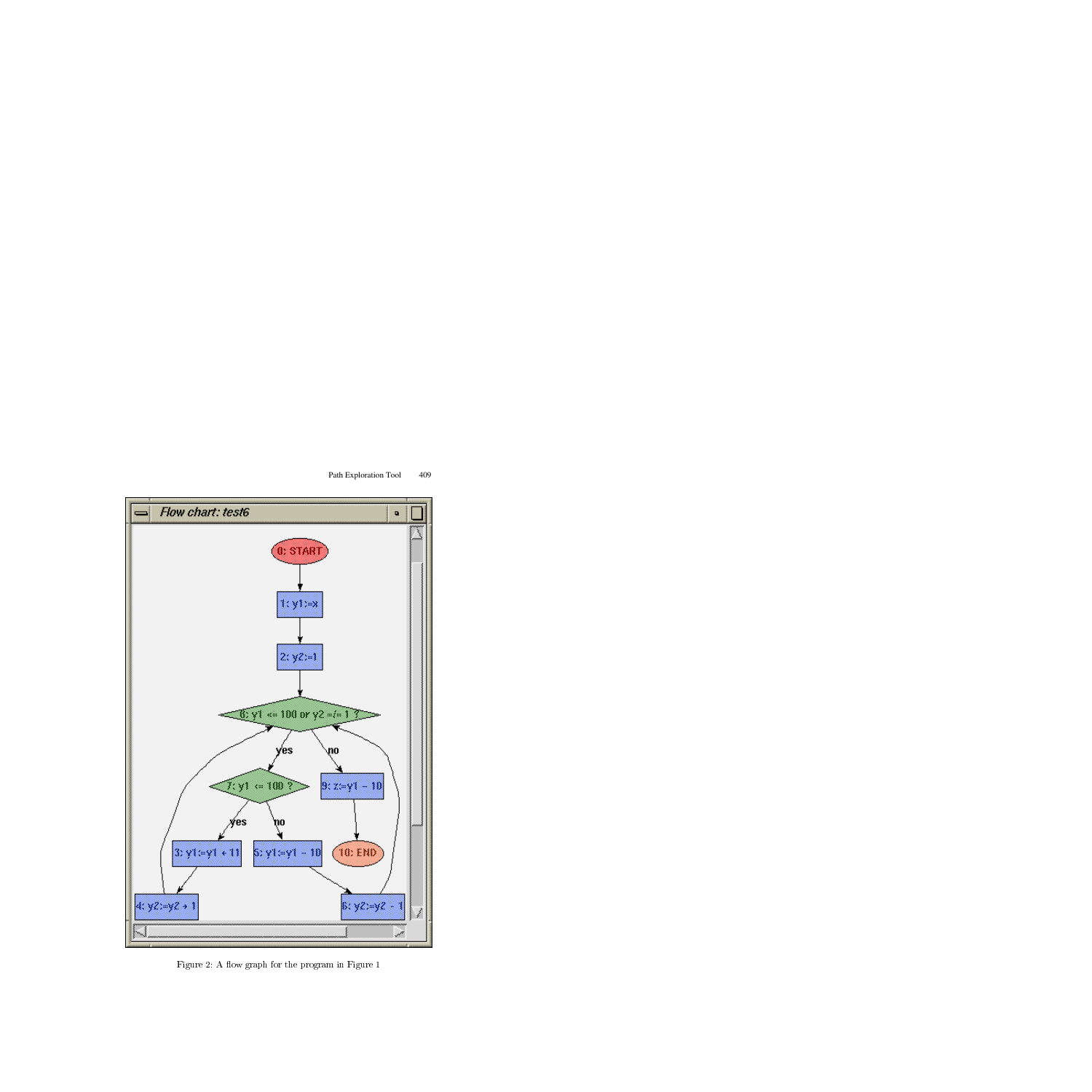

Figure 2: A flow graph for the program in Figure 1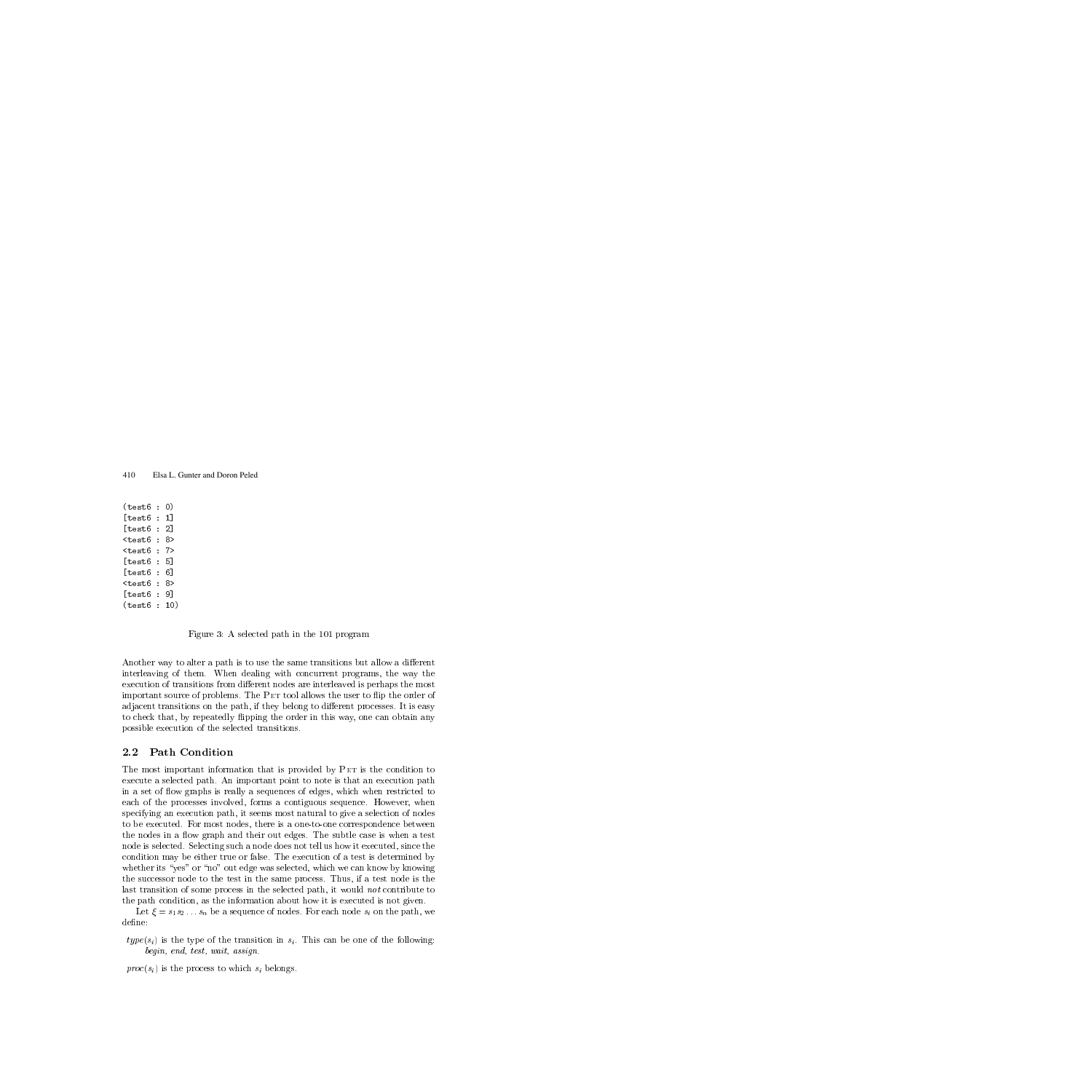(test6 : 0) [test6 : 1] [test6 : 2] <test6 : 8> <test6 : 7> [test6 : 5] [test6 : 6] <test6 : 8> [test6 : 9] (test6 : 10)

Figure 3: A selected path in the 101 program

Another way to alter a path is to use the same transitions but allow a different interleaving of them. When dealing with concurrent programs, the way the execution of transitions from different nodes are interleaved is perhaps the most important source of problems. The PET tool allows the user to flip the order of adjacent transitions on the path, if they belong to different processes. It is easy to check that, by repeatedly flipping the order in this way, one can obtain any possible execution of the selected transitions.

#### 2.2 Path Condition 2.2 Path Conditions - 2.2 Path Conditions - 2.2 Path Conditions - 2.2 Path Conditions - 2.2 Path Conditions - 2

The most important information that is provided by PET is the condition to execute a selected path. An important point to note is that an execution path in a set of flow graphs is really a sequences of edges, which when restricted to each of the processes involved, forms a contiguous sequence. However, when specifying an execution path, it seems most natural to give a selection of nodes to be executed. For most nodes, there is a one-to-one correspondence between the nodes in a flow graph and their out edges. The subtle case is when a test node is selected. Selecting such a node does not tell us how it executed, since the condition may be either true or false. The execution of a test is determined by whether its "yes" or "no" out edge was selected, which we can know by knowing the successor node to the test in the same process. Thus, if a test node is the last transition of some process in the selected path, it would not contribute to the path condition, as the information about how it is executed is not given.

Let  $\xi = s_1 s_2 \ldots s_n$  be a sequence of nodes. For each node  $s_i$  on the path, we define:

 $type(s_i)$  is the type of the transition in  $s_i$ . This can be one of the following: begin, end, test, wait, assign.

 $proc(s_i)$  is the process to which  $s_i$  belongs.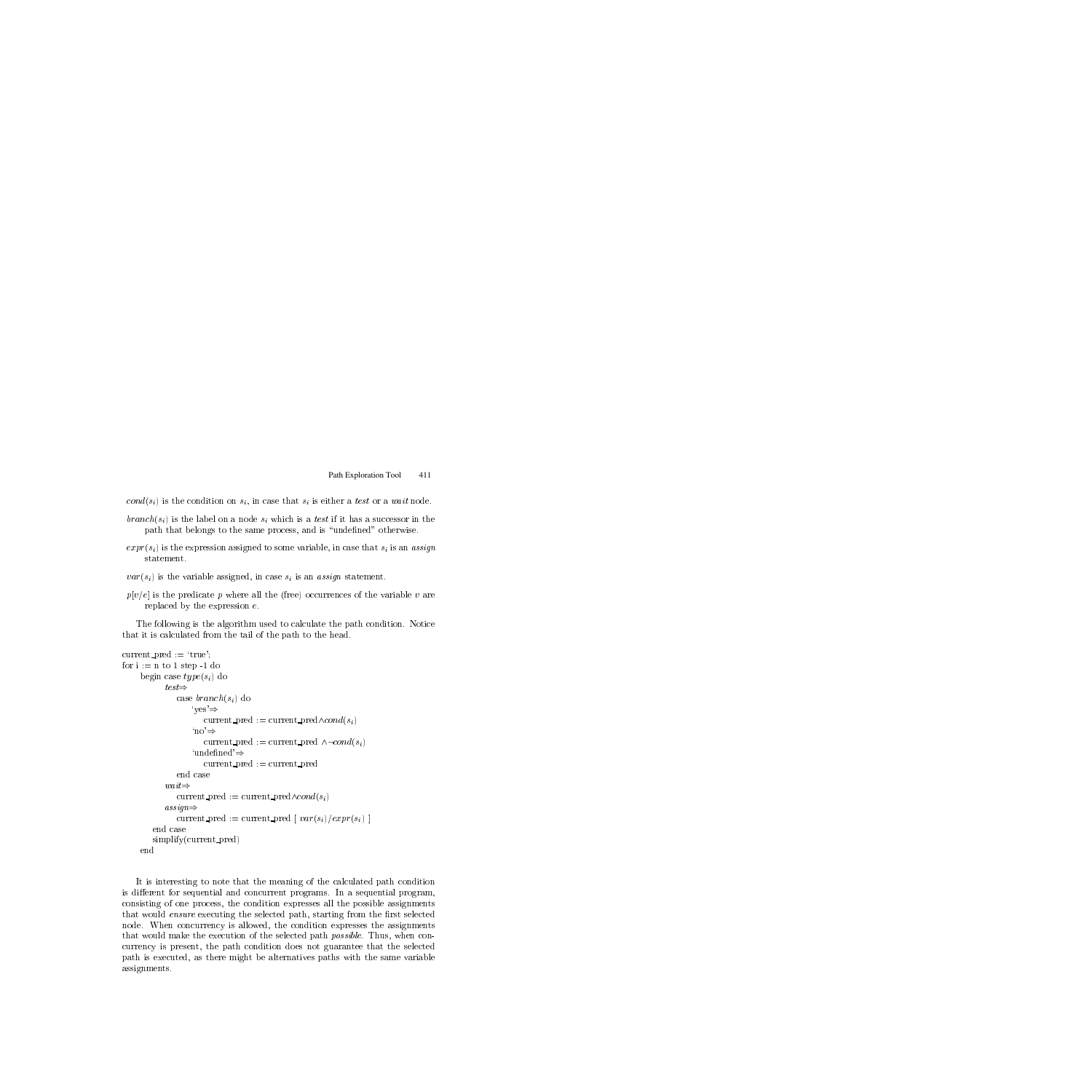$cond(s_i)$  is the condition on  $s_i$ , in case that  $s_i$  is either a test or a wait node.

- $branch(s_i)$  is the label on a node  $s_i$  which is a test if it has a successor in the path that belongs to the same process, and is "undefined" otherwise.
- $\exp(r(s_i))$  is the expression assigned to some variable, in case that  $s_i$  is an assign statement.
- $var(s_i)$  is the variable assigned, in case  $s_i$  is an assign statement.
- $p[v/e]$  is the predicate p where all the (free) occurrences of the variable v are replaced by the expression e.

The following is the algorithm used to calculate the path condition. Notice that it is calculated from the tail of the path to the head.

```
current\_pred := 'true';for i := n to 1 step -1 do
     begin case type(s_i) do
             test \Rightarrowtest)
                case branch(s_i) do
                     \text{`ves'} \Rightarrowcurrent_pred := current_pred\wedge cond(s_i)^{\prime}no'\Rightarrowcurrent pred := current pred \wedge \neg cond(s_i)'undefined'\Rightarrowcurrent pred := current pred
                end case
                current pred := current pred\wedge cond(s_i)assign \Rightarrowcurrent pred := current pred \left[ var(s_i)/expr(s_i) \right]simplify(current_pred)
```
It is interesting to note that the meaning of the calculated path condition is different for sequential and concurrent programs. In a sequential program, consisting of one process, the condition expresses all the possible assignments that would *ensure* executing the selected path, starting from the first selected node. When concurrency is allowed, the condition expresses the assignments that would make the execution of the selected path *possible*. Thus, when concurrency is present, the path condition does not guarantee that the selected path is executed, as there might be alternatives paths with the same variable assignments.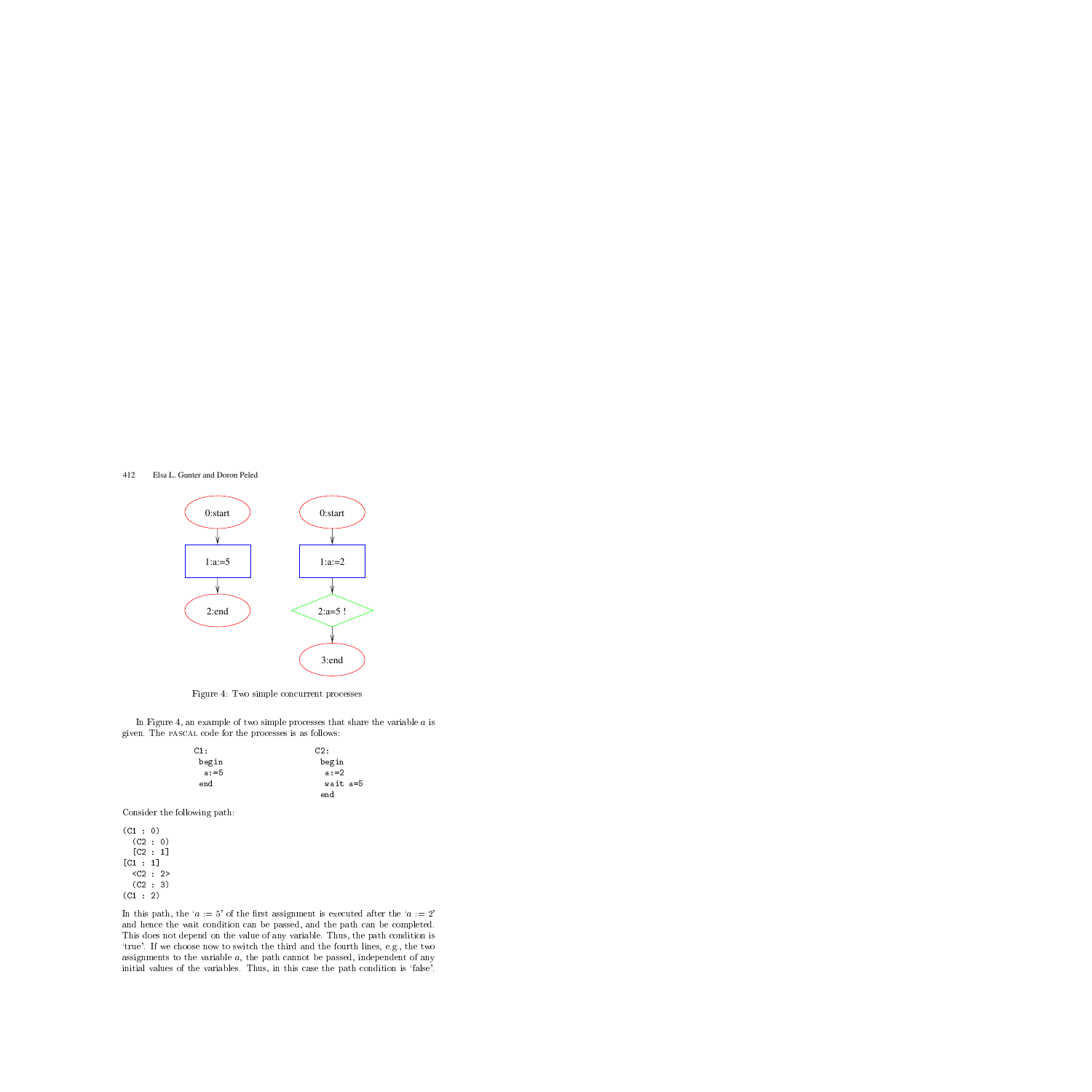

Figure 4: Two simple concurrent processes

In Figure 4, an example of two simple processes that share the variable  $a$  is given. The pascal code for the processes is as follows:

| C1:     | C2:      |
|---------|----------|
| begin   | begin    |
| $a: =5$ | $a: = 2$ |
| end     | wait a=5 |
|         | end      |

Consider the following path:

 $\sim$  0)  $\sim$  0)  $\sim$  0)  $\sim$  0)  $\sim$  0)  $\sim$  0)  $\sim$  0)  $\sim$  0)  $\sim$  0)  $\sim$  0)  $\sim$  0)  $\sim$  0)  $\sim$  0)  $\sim$  0)  $\sim$  0)  $\sim$  0)  $\sim$  0)  $\sim$  0)  $\sim$  0)  $\sim$  0)  $\sim$  0)  $\sim$  0)  $\sim$  0)  $\sim$  0)  $\sim$  0)  $\sim$  0)  $\sim$  0)  $\sim$   $\sim$  0)  $\sim$  0)  $\sim$  0)  $\sim$  0)  $\sim$  0)  $\sim$  0)  $\sim$  0)  $\sim$  0)  $\sim$  0)  $\sim$  0)  $\sim$  0)  $\sim$  0)  $\sim$  0)  $\sim$  0)  $\sim$  0)  $\sim$  0)  $\sim$  0)  $\sim$  0)  $\sim$  0)  $\sim$  0)  $\sim$  0)  $\sim$  0)  $\sim$  0)  $\sim$  0)  $\sim$  0)  $\sim$  0)  $\sim$  0)  $\sim$  <u>[C2 : 1]</u> <u>[C</u>1 : 1] <C2 : 2>  $\sim$  3)  $\sim$  3)  $\sim$  3)  $\sim$  3)  $\sim$  3)  $\sim$  3)  $\sim$  3)  $\sim$  3)  $\sim$  3)  $\sim$  3)  $\sim$  3)  $\sim$  3)  $\sim$  3)  $\sim$  3)  $\sim$  3)  $\sim$  3)  $\sim$  3)  $\sim$  3)  $\sim$  3)  $\sim$  3)  $\sim$  3)  $\sim$  3)  $\sim$  3)  $\sim$  3)  $\sim$  3)  $\sim$  3)  $\sim$  3)  $\sim$   $\sim$  2)  $\sim$  2007  $\sim$  2007  $\sim$  2007  $\sim$  2007  $\sim$  2007  $\sim$  2007  $\sim$  2007  $\sim$  2007  $\sim$  2007  $\sim$  2007  $\sim$  2007  $\sim$  2007  $\sim$  2007  $\sim$  2007  $\sim$  2007  $\sim$  2007  $\sim$  2007  $\sim$  2007  $\sim$  2007  $\sim$  2007  $\sim$  2007  $\sim$ 

In this path, the ' $a := 5$ ' of the first assignment is executed after the ' $a := 2$ ' and hence the wait condition can be passed, and the path can be completed. This does not depend on the value of any variable. Thus, the path condition is `true'. If we choose now to switch the third and the fourth lines, e.g., the two assignments to the variable  $a$ , the path cannot be passed, independent of any initial values of the variables. Thus, in this case the path condition is 'false'.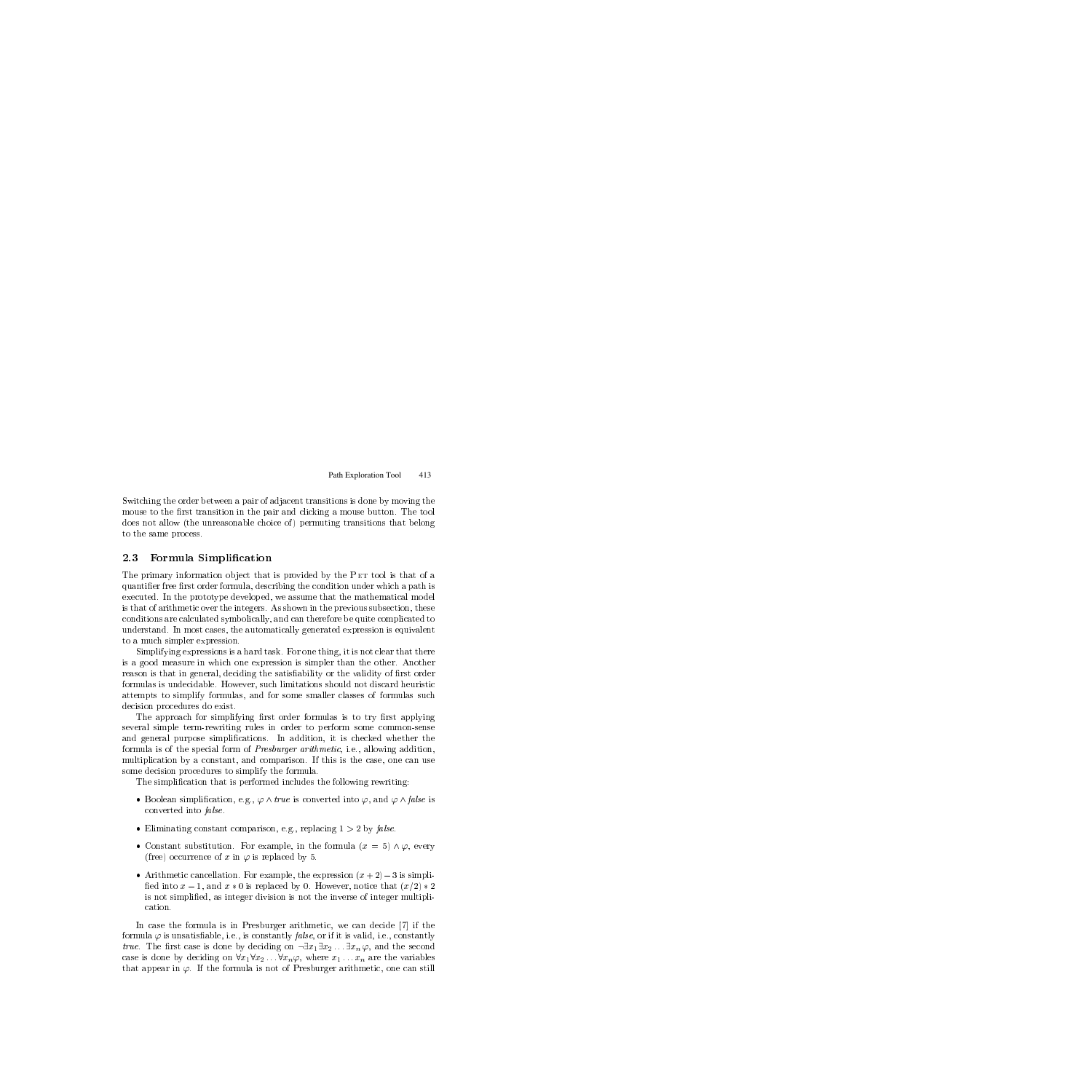Switching the order between a pair of adjacent transitions is done by moving the mouse to the first transition in the pair and clicking a mouse button. The tool does not allow (the unreasonable choice of ) permuting transitions that belong to the same process.

### 2.3 Formula Simplification

The primary information object that is provided by the PET tool is that of a quantifier free first order formula, describing the condition under which a path is executed. In the prototype developed, we assume that the mathematical model is that of arithmetic over the integers. As shown in the previous subsection, these conditions are calculated symbolically, and can therefore be quite complicated to understand. In most cases, the automatically generated expression is equivalent to a much simpler expression.

Simplifying expressions is a hard task. For one thing, it is not clear that there is a good measure in which one expression is simpler than the other. Another reason is that in general, deciding the satisfiability or the validity of first order formulas is undecidable. However, such limitations should not discard heuristic attempts to simplify formulas, and for some smaller classes of formulas such decision procedures do exist.

The approach for simplifying first order formulas is to try first applying several simple term-rewriting rules in order to perform some common-sense and general purpose simplications. In addition, it is checked whether the formula is of the special form of Presburger arithmetic, i.e., allowing addition, multiplication by a constant, and comparison. If this is the case, one can use some decision procedures to simplify the formula.

The simplication that is performed includes the following rewriting:

- Boolean simplification, e.g.,  $\varphi \wedge \text{true}$  is converted into  $\varphi$ , and  $\varphi \wedge \text{false}$  is converted into false .
- Eliminating constant comparison, e.g., replacing  $1 > 2$  by false.
- Constant substitution. For example, in the formula  $(x = 5) \wedge \varphi$ , every (free) occurrence of x in  $\varphi$  is replaced by 5.
- Arithmetic cancellation. For example, the expression  $(x+2) 3$  is simplified into  $x - 1$ , and  $x \times 0$  is replaced by 0. However, notice that  $(x/2) \times 2$ is not simplied, as integer division is not the inverse of integer multipli-

In case the formula is in Presburger arithmetic, we can decide [7] if the formula  $\varphi$  is unsatisfiable, i.e., is constantly *false*, or if it is valid, i.e., constantly *true.* The first case is done by deciding on  $\neg \exists x_1 \exists x_2 \dots \exists x_n \varphi$ , and the second case is done by deciding on  $\forall x_1 \forall x_2 \dots \forall x_n \varphi$ , where  $x_1 \dots x_n$  are the variables that appear in  $\varphi$ . If the formula is not of Presburger arithmetic, one can still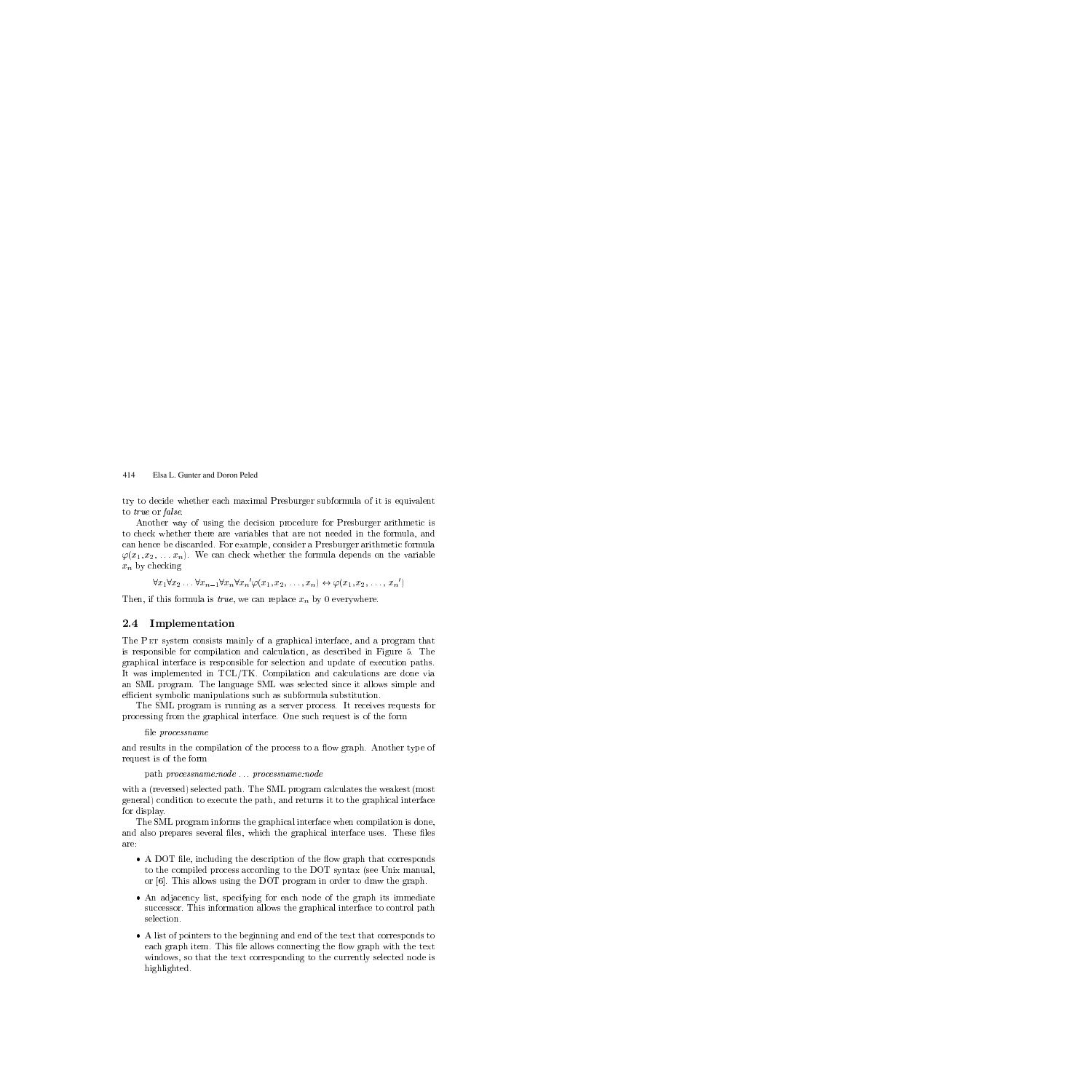try to decide whether each maximal Presburger subformula of it is equivalent to true or false.

Another way of using the decision procedure for Presburger arithmetic is to check whether there are variables that are not needed in the formula, and can hence be discarded. For example, consider a Presburger arithmetic formula  $\varphi(x_1, x_2, \ldots, x_n)$ . We can check whether the formula depends on the variable  $x_n$  by checking

```
\forall x_1 \forall x_2 \ldots \forall x_{n-1} \forall x_n \forall x_n \varphi(x_1, x_2, \ldots, x_n) \leftrightarrow \varphi(x_1, x_2, \ldots, x_n)
```
Then, if this formula is *true*, we can replace  $x_n$  by 0 everywhere.

## $2.4$ **Implementation**

The Pet system consists mainly of a graphical interface, and a program that is responsible for compilation and calculation, as described in Figure 5.The graphical interface is responsible for selection and update of execution paths. It was implemented in TCL/TK. Compilation and calculations are done via an SML program. The language SML was selected since it allows simple and efficient symbolic manipulations such as subformula substitution.

The SML program is running as a server process. It receives requests for processing from the graphical interface. One such request is of the form

file *processname* 

and results in the compilation of the process to a flow graph. Another type of request is of the form

path processname:node ... processname:node

with a (reversed) selected path. The SML program calculates the weakest (most general) condition to execute the path, and returns it to the graphical interface for display.

The SML program informs the graphical interface when compilation is done, and also prepares several files, which the graphical interface uses. These files are:

- A DOT file, including the description of the flow graph that corresponds to the compiled process according to the DOT syntax (see Unix manual, or [6]. This allows using the DOT program in order to draw the graph.
- An adjacency list, specifying for each node of the graph its immediate successor. This information allows the graphical interface to control path selection.
- A list of pointers to the beginning and end of the text that corresponds to each graph item. This file allows connecting the flow graph with the text windows, so that the text corresponding to the currently selected node is highlighted.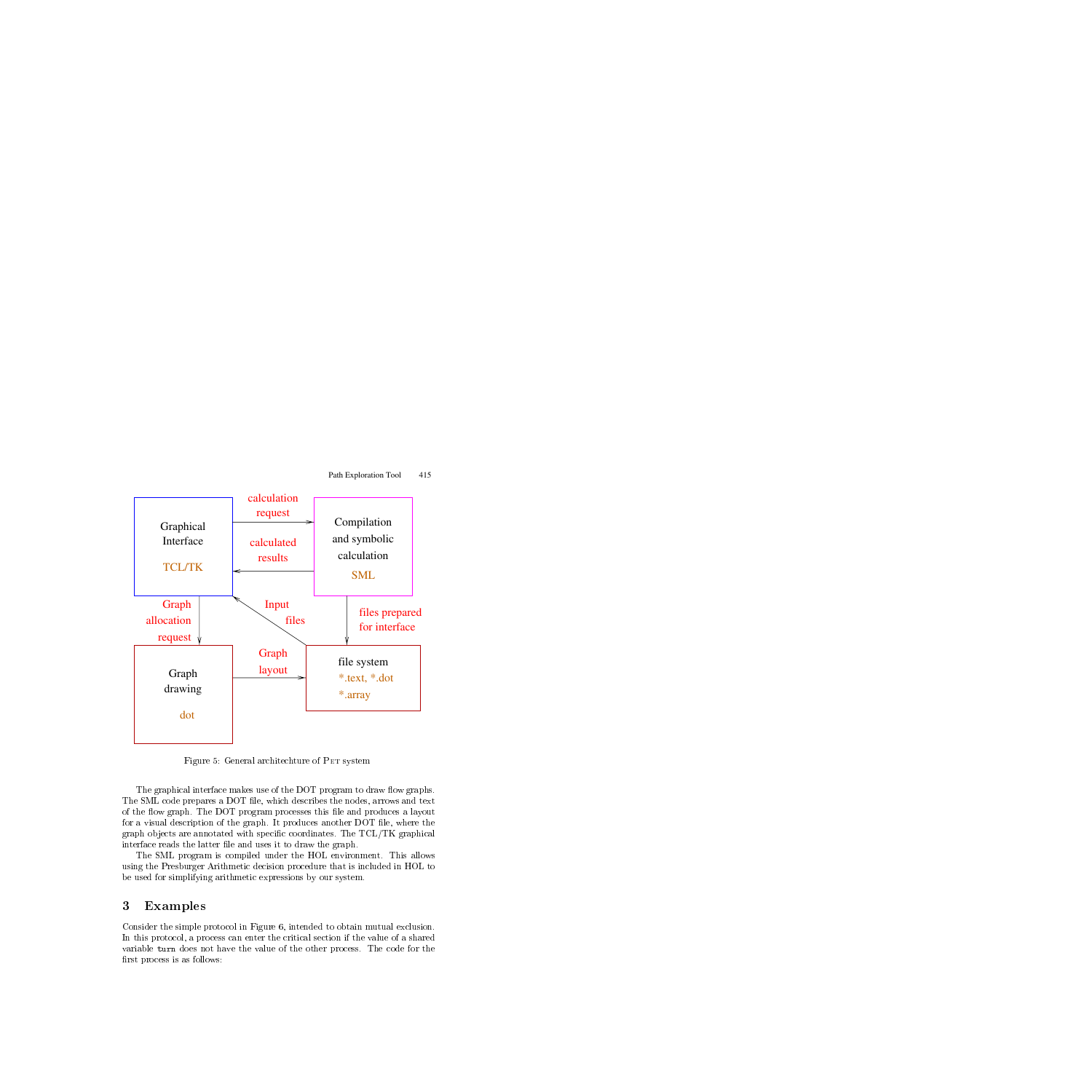

Figure 5: General architechture of PET system

The graphical interface makes use of the DOT program to draw flow graphs. The SML code prepares a DOT file, which describes the nodes, arrows and text of the 
ow graph. The DOT program processes this le and produces a layout for a visual description of the graph. It produces another DOT file, where the graph objects are annotated with specific coordinates. The  $TCL/TK$  graphical interface reads the latter file and uses it to draw the graph.

The SML program is compiled under the HOL environment. This allows using the Presburger Arithmetic decision procedure that is included in HOL to be used for simplifying arithmetic expressions by our system.

## $\mathbf{3}$ **Examples**

Consider the simple protocol in Figure 6, intended to obtain mutual exclusion. In this protocol, a process can enter the critical section if the value of a shared variable turn does not have the value of the other process. The code for the first process is as follows: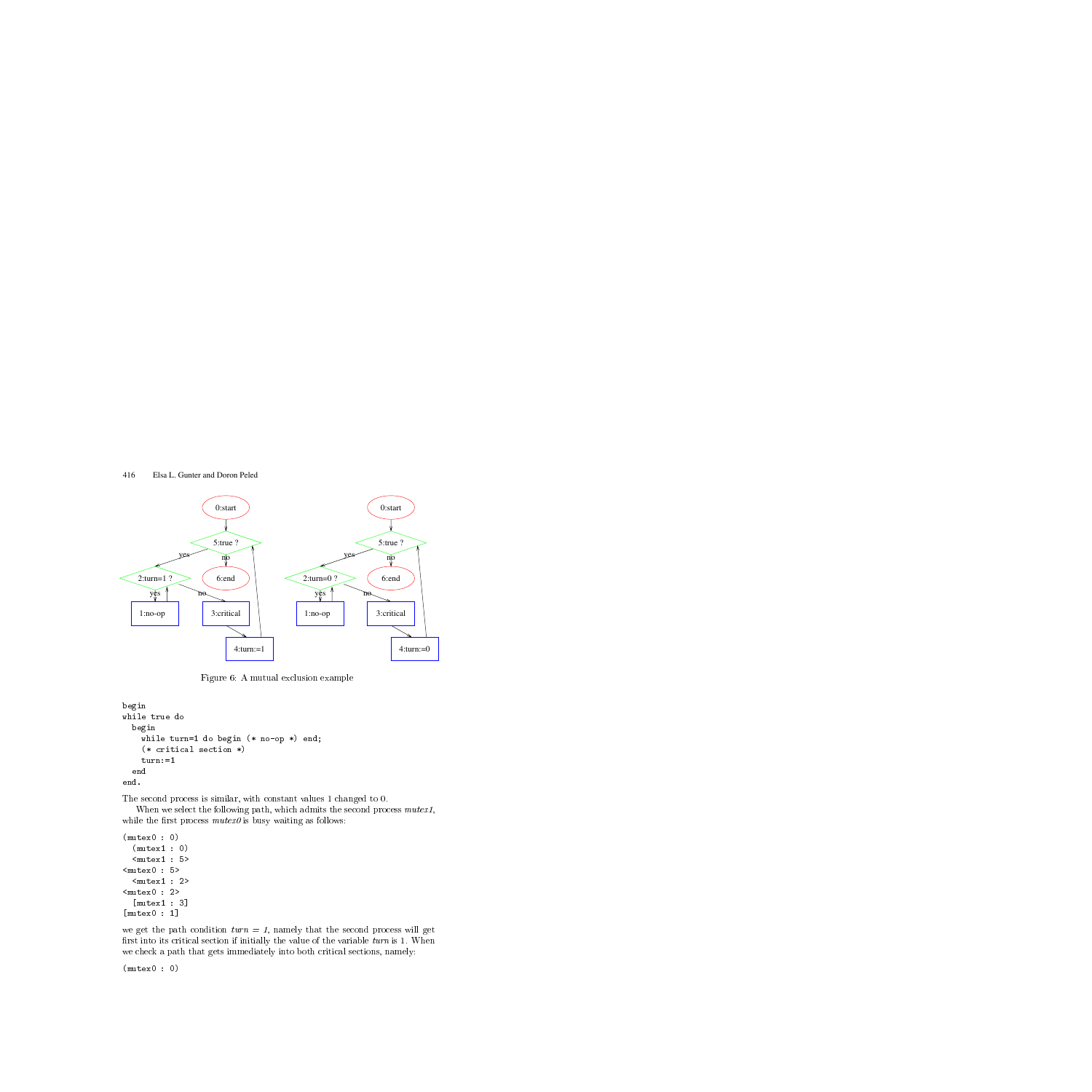

Figure 6: A mutual exclusion example

```
beginbeginwhile the turns of the property of the contract of the contract of the contract of the contract of the contract of the contract of the contract of the contract of the contract of the contract of the contract of the contrac
             \sim critical section \sim critical section \sim . The critical section \simturn:=1end
       endend.
```
The second process is similar, with constant values 1 changed to 0.

When we select the following path, which admits the second process  $\textit{mutex1}$ , while the first process  $\textit{mutex0}$  is busy waiting as follows:

```
(mutex0 : 0)
      \sim 0.000 \sim 0.000 \sim 0.000 \sim 0.000 \sim 0.000 \sim 0.000 \sim 0.000 \sim 0.000 \sim 0.000 \sim 0.000 \sim 0.000 \sim 0.000 \sim 0.000 \sim 0.000 \sim 0.000 \sim 0.000 \sim 0.000 \sim 0.000 \sim 0.000 \sim 0.000 <mutex1 : 5>
<mutex0 : 5>
      <mutex1 : 2>
<mutex0 : 2>
      [ muter_s is 3] \sim 3] \sim 3] \sim 3] \sim 3] \sim 3] \sim 3] \sim 3] \sim 3] \sim 3] \sim 3] \sim 3] \sim 3] \sim 3] \sim 3] \sim 3] \sim 3] \sim 3] \sim 3] \sim 3] \sim 3] \sim 3] \sim 3] \sim 3] \sim 3] \sim 3] \sim<u>[mutescent</u> : 1]
```
we get the path condition  $turn = 1$ , namely that the second process will get first into its critical section if initially the value of the variable  $turn$  is 1. When we check a path that gets immediately into both critical sections, namely:

 $\sim$   $\sim$   $\sim$   $\sim$   $\sim$ : 0)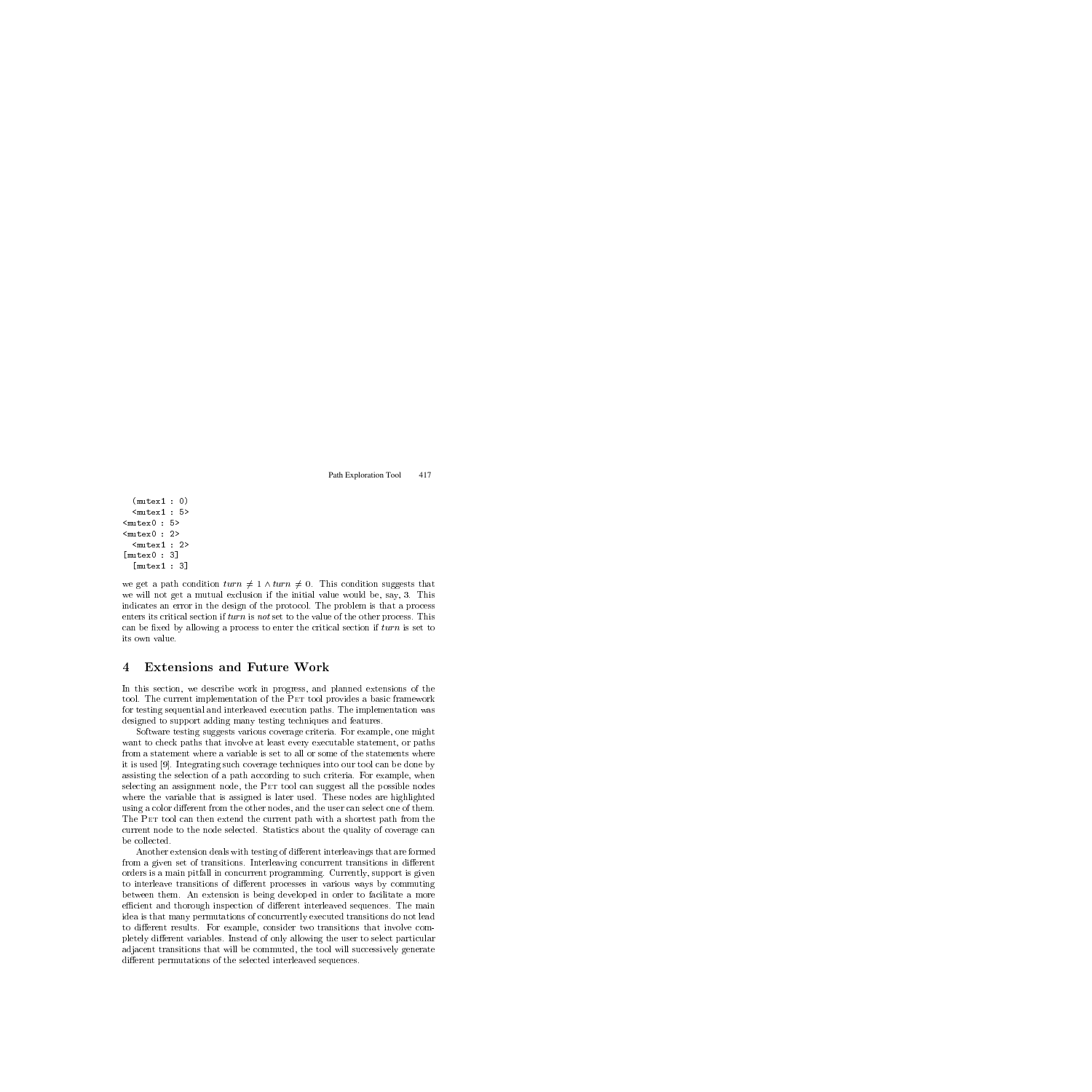```
\sim 000 \sim 000 \sim 000 \sim 000 \sim 000 \sim 000 \sim 000 \sim 000 \sim 000 \sim 000 \sim 000 \sim 000 \sim 000 \sim 000 \sim 000 \sim 000 \sim 000 \sim 000 \sim 000 \sim 000 \sim 000 \sim 000 \sim 000 \sim 000 \sim 
     <mutex1 : 5>
<mutex0 : 5>
<mutex0 : 2>
     <mutex1 : 2>
\sim \sim \sim \sim \sim: 3<u>]</u>
     \sim \sim \sim \sim \sim \sim: 3<u>]</u>
```
we get a path condition  $turn \neq 1 \wedge turn \neq 0$ . This condition suggests that we will not get a mutual exclusion if the initial value would be, say, 3. This indicates an error in the design of the protocol. The problem is that a process enters its critical section if turn is not set to the value of the other process. This can be fixed by allowing a process to enter the critical section if  $turn$  is set to its own value.

## **Extensions and Future Work** 4

In this section, we describe work in progress, and planned extensions of the tool. The current implementation of the PET tool provides a basic framework for testing sequential and interleaved execution paths. The implementation was designed to support adding many testing techniques and features.

Software testing suggests various coverage criteria. For example, one might want to check paths that involve at least every executable statement, or paths from a statement where a variable is set to all or some of the statements where it is used [9]. Integrating such coverage techniques into our tool can be done by assisting the selection of a path according to such criteria. For example, when selecting an assignment node, the PET tool can suggest all the possible nodes where the variable that is assigned is later used. These nodes are highlighted using a color different from the other nodes, and the user can select one of them. The Pet tool can then extend the current path with a shortest path from the current node to the node selected. Statistics about the quality of coverage can

Another extension deals with testing of different interleavings that are formed from a given set of transitions. Interleaving concurrent transitions in different orders is a main pitfall in concurrent programming. Currently, support is given to interleave transitions of different processes in various ways by commuting between them. An extension isbeing developed in order to facilitate a more efficient and thorough inspection of different interleaved sequences. The main idea is that many permutations of concurrently executed transitions do not lead to different results. For example, consider two transitions that involve completely different variables. Instead of only allowing the user to select particular adjacent transitions that will be commuted, the tool will successively generate different permutations of the selected interleaved sequences.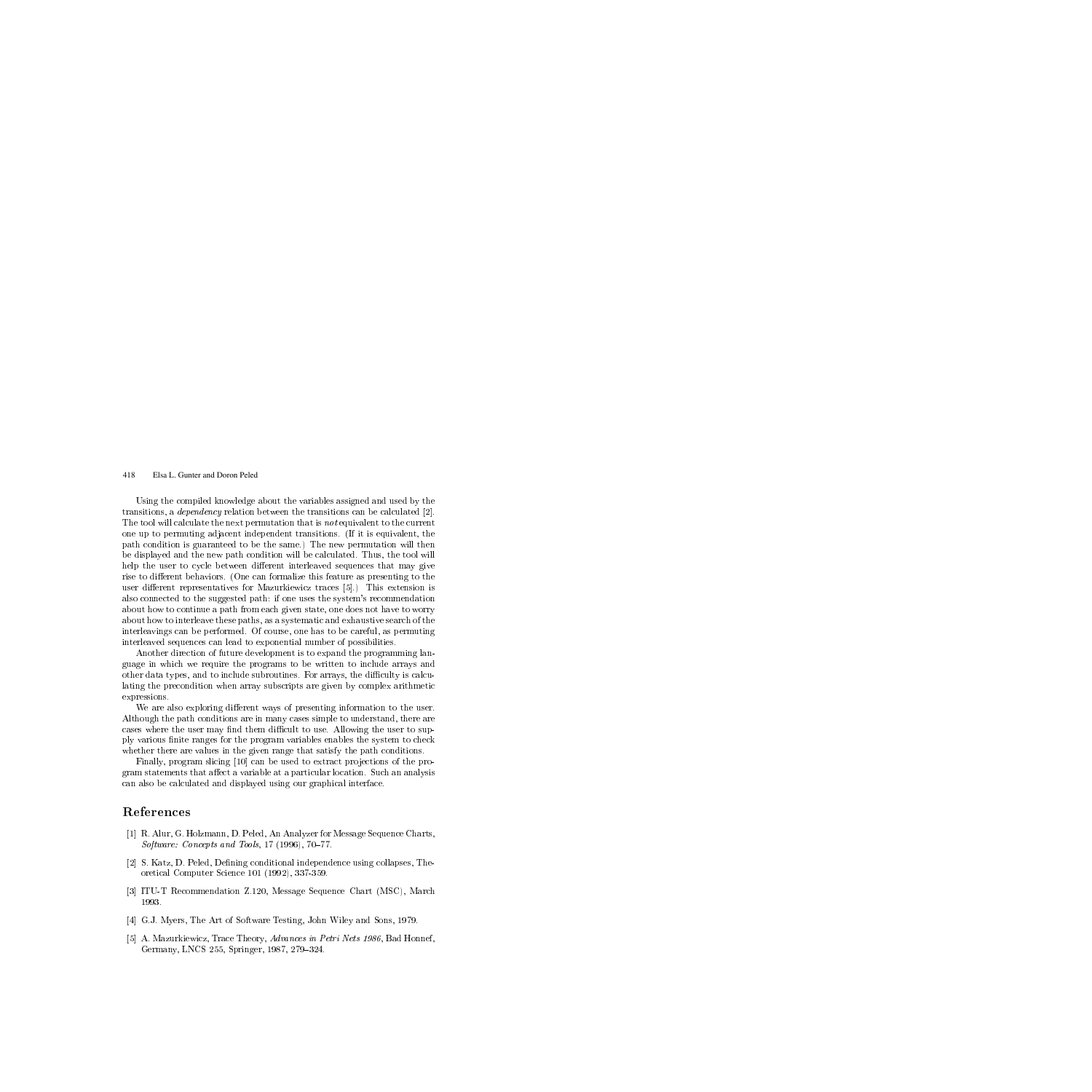Using the compiled knowledge about the variables assigned and used by the transitions, a dependency relation between the transitions can be calculated [2]. The tool will calculate the next permutation that is not equivalent to the current one up to permuting adjacent independent transitions. (If it is equivalent, the path condition is guaranteed to be the same.) The new permutation will then be displayed and the new path condition will be calculated. Thus, the tool will help the user to cycle between different interleaved sequences that may give rise to different behaviors. (One can formalize this feature as presenting to the user different representatives for Mazurkiewicz traces  $[5]$ .) This extension is also connected to the suggested path: if one uses the system's recommendation about how to continue a path from each given state, one does not have to worry about how to interleave these paths, as a systematic and exhaustive search of the interleavings can be performed. Of course, one has to be careful, as permuting interleaved sequences can lead to exponential number of possibilities.

Another direction of future development is to expand the programming language in which we require the programs to be written to include arrays and other data types, and to include subroutines. For arrays, the difficulty is calculating the precondition when array subscripts are given by complex arithmetic expressions.

We are also exploring different ways of presenting information to the user. Although the path conditions are in many cases simple to understand, there are cases where the user may find them difficult to use. Allowing the user to supply various nite ranges for the program variables enables the system to check whether there are values in the given range that satisfy the path conditions.

Finally, program slicing [10] can be used to extract projections of the program statements that affect a variable at a particular location. Such an analysis can also be calculated and displayed using our graphical interface.

## References

- [1] R. Alur, G. Holzmann, D. Peled, An Analyzer for Message Sequence Charts, Software: Concepts and Tools,  $17$  (1996),  $70-77$ .
- [2] S. Katz, D. Peled, Defining conditional independence using collapses, Theoretical Computer Science 101 (1992), 337-359.
- [3] ITU-T Recommendation Z.120, Message Sequence Chart (MSC), March 1993.
- [4] G.J. Myers, The Art of Software Testing, John Wiley and Sons, 1979.
- [5] A. Mazurkiewicz, Trace Theory, Advances in Petri Nets 1986, Bad Honnef, Germany, LNCS 255, Springer, 1987, 279-324.